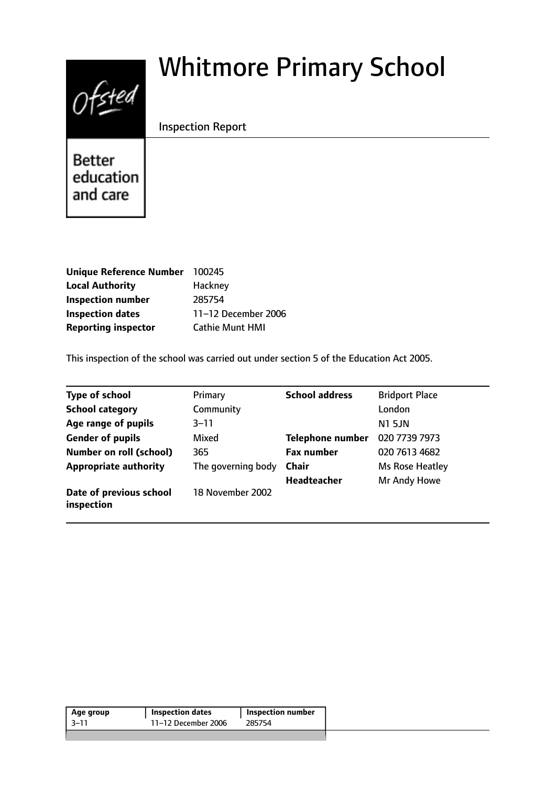# $0$ fsted

# Whitmore Primary School

Inspection Report

**Better** education and care

| Unique Reference Number 100245 |                        |
|--------------------------------|------------------------|
| <b>Local Authority</b>         | Hackney                |
| <b>Inspection number</b>       | 285754                 |
| <b>Inspection dates</b>        | 11-12 December 2006    |
| <b>Reporting inspector</b>     | <b>Cathie Munt HMI</b> |

This inspection of the school was carried out under section 5 of the Education Act 2005.

| <b>Type of school</b>                 | Primary            | <b>School address</b> | <b>Bridport Place</b> |
|---------------------------------------|--------------------|-----------------------|-----------------------|
| <b>School category</b>                | Community          |                       | London                |
| Age range of pupils                   | 3–11               |                       | <b>N1 5JN</b>         |
| <b>Gender of pupils</b>               | Mixed              | Telephone number      | 020 7739 7973         |
| <b>Number on roll (school)</b>        | 365                | <b>Fax number</b>     | 020 7613 4682         |
| <b>Appropriate authority</b>          | The governing body | <b>Chair</b>          | Ms Rose Heatley       |
|                                       |                    | Headteacher           | Mr Andy Howe          |
| Date of previous school<br>inspection | 18 November 2002   |                       |                       |

| Age group | <b>Inspection dates</b> | Inspection number |
|-----------|-------------------------|-------------------|
| -3–11     | 11-12 December 2006     | 285754            |
|           |                         |                   |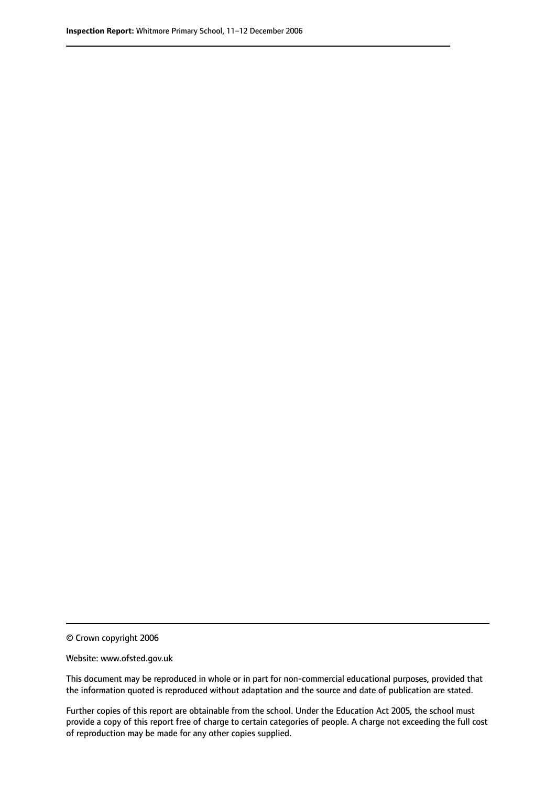© Crown copyright 2006

Website: www.ofsted.gov.uk

This document may be reproduced in whole or in part for non-commercial educational purposes, provided that the information quoted is reproduced without adaptation and the source and date of publication are stated.

Further copies of this report are obtainable from the school. Under the Education Act 2005, the school must provide a copy of this report free of charge to certain categories of people. A charge not exceeding the full cost of reproduction may be made for any other copies supplied.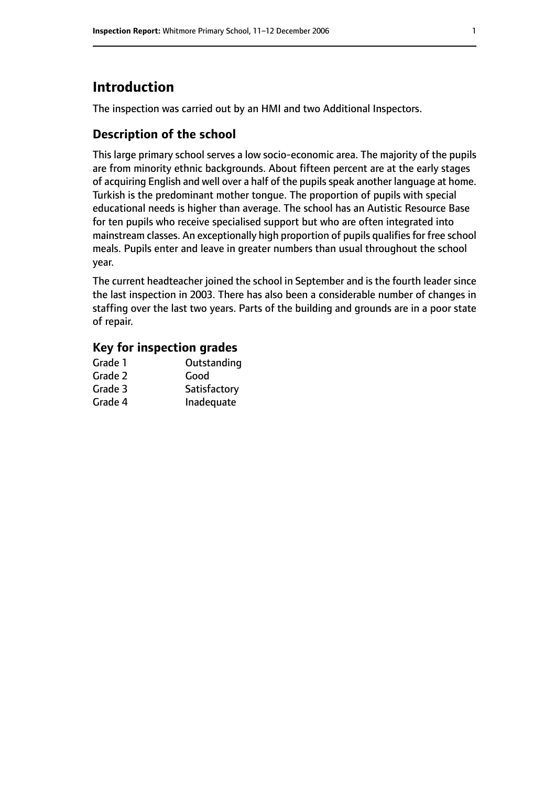# **Introduction**

The inspection was carried out by an HMI and two Additional Inspectors.

# **Description of the school**

This large primary school serves a low socio-economic area. The majority of the pupils are from minority ethnic backgrounds. About fifteen percent are at the early stages of acquiring English and well over a half of the pupils speak another language at home. Turkish is the predominant mother tongue. The proportion of pupils with special educational needs is higher than average. The school has an Autistic Resource Base for ten pupils who receive specialised support but who are often integrated into mainstream classes. An exceptionally high proportion of pupils qualifies for free school meals. Pupils enter and leave in greater numbers than usual throughout the school year.

The current headteacher joined the school in September and is the fourth leader since the last inspection in 2003. There has also been a considerable number of changes in staffing over the last two years. Parts of the building and grounds are in a poor state of repair.

#### **Key for inspection grades**

| Grade 1 | Outstanding  |
|---------|--------------|
| Grade 2 | Good         |
| Grade 3 | Satisfactory |
| Grade 4 | Inadequate   |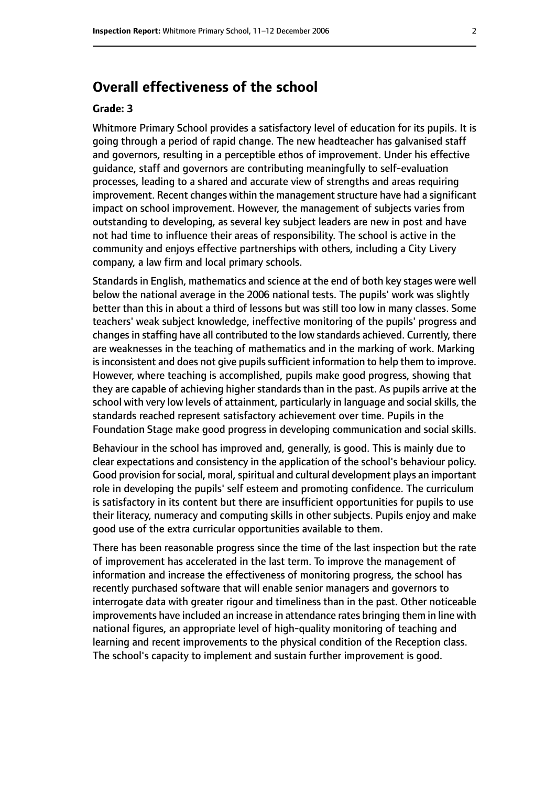# **Overall effectiveness of the school**

#### **Grade: 3**

Whitmore Primary School provides a satisfactory level of education for its pupils. It is going through a period of rapid change. The new headteacher has galvanised staff and governors, resulting in a perceptible ethos of improvement. Under his effective guidance, staff and governors are contributing meaningfully to self-evaluation processes, leading to a shared and accurate view of strengths and areas requiring improvement. Recent changes within the management structure have had a significant impact on school improvement. However, the management of subjects varies from outstanding to developing, as several key subject leaders are new in post and have not had time to influence their areas of responsibility. The school is active in the community and enjoys effective partnerships with others, including a City Livery company, a law firm and local primary schools.

Standards in English, mathematics and science at the end of both key stages were well below the national average in the 2006 national tests. The pupils' work was slightly better than this in about a third of lessons but was still too low in many classes. Some teachers' weak subject knowledge, ineffective monitoring of the pupils' progress and changes in staffing have all contributed to the low standards achieved. Currently, there are weaknesses in the teaching of mathematics and in the marking of work. Marking is inconsistent and does not give pupils sufficient information to help them to improve. However, where teaching is accomplished, pupils make good progress, showing that they are capable of achieving higher standards than in the past. As pupils arrive at the school with very low levels of attainment, particularly in language and social skills, the standards reached represent satisfactory achievement over time. Pupils in the Foundation Stage make good progress in developing communication and social skills.

Behaviour in the school has improved and, generally, is good. This is mainly due to clear expectations and consistency in the application of the school's behaviour policy. Good provision for social, moral, spiritual and cultural development plays an important role in developing the pupils' self esteem and promoting confidence. The curriculum is satisfactory in its content but there are insufficient opportunities for pupils to use their literacy, numeracy and computing skills in other subjects. Pupils enjoy and make good use of the extra curricular opportunities available to them.

There has been reasonable progress since the time of the last inspection but the rate of improvement has accelerated in the last term. To improve the management of information and increase the effectiveness of monitoring progress, the school has recently purchased software that will enable senior managers and governors to interrogate data with greater rigour and timeliness than in the past. Other noticeable improvements have included an increase in attendance rates bringing them in line with national figures, an appropriate level of high-quality monitoring of teaching and learning and recent improvements to the physical condition of the Reception class. The school's capacity to implement and sustain further improvement is good.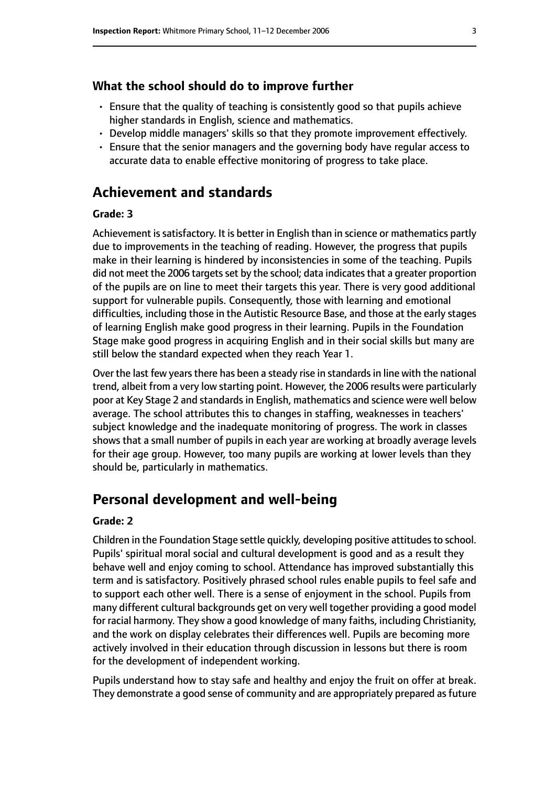#### **What the school should do to improve further**

- Ensure that the quality of teaching is consistently good so that pupils achieve higher standards in English, science and mathematics.
- Develop middle managers' skills so that they promote improvement effectively.
- Ensure that the senior managers and the governing body have regular access to accurate data to enable effective monitoring of progress to take place.

# **Achievement and standards**

#### **Grade: 3**

Achievement is satisfactory. It is better in English than in science or mathematics partly due to improvements in the teaching of reading. However, the progress that pupils make in their learning is hindered by inconsistencies in some of the teaching. Pupils did not meet the 2006 targets set by the school; data indicates that a greater proportion of the pupils are on line to meet their targets this year. There is very good additional support for vulnerable pupils. Consequently, those with learning and emotional difficulties, including those in the Autistic Resource Base, and those at the early stages of learning English make good progress in their learning. Pupils in the Foundation Stage make good progress in acquiring English and in their social skills but many are still below the standard expected when they reach Year 1.

Over the last few years there has been a steady rise in standards in line with the national trend, albeit from a very low starting point. However, the 2006 results were particularly poor at Key Stage 2 and standards in English, mathematics and science were well below average. The school attributes this to changes in staffing, weaknesses in teachers' subject knowledge and the inadequate monitoring of progress. The work in classes shows that a small number of pupils in each year are working at broadly average levels for their age group. However, too many pupils are working at lower levels than they should be, particularly in mathematics.

# **Personal development and well-being**

#### **Grade: 2**

Children in the Foundation Stage settle quickly, developing positive attitudes to school. Pupils' spiritual moral social and cultural development is good and as a result they behave well and enjoy coming to school. Attendance has improved substantially this term and is satisfactory. Positively phrased school rules enable pupils to feel safe and to support each other well. There is a sense of enjoyment in the school. Pupils from many different cultural backgrounds get on very well together providing a good model for racial harmony. They show a good knowledge of many faiths, including Christianity, and the work on display celebrates their differences well. Pupils are becoming more actively involved in their education through discussion in lessons but there is room for the development of independent working.

Pupils understand how to stay safe and healthy and enjoy the fruit on offer at break. They demonstrate a good sense of community and are appropriately prepared as future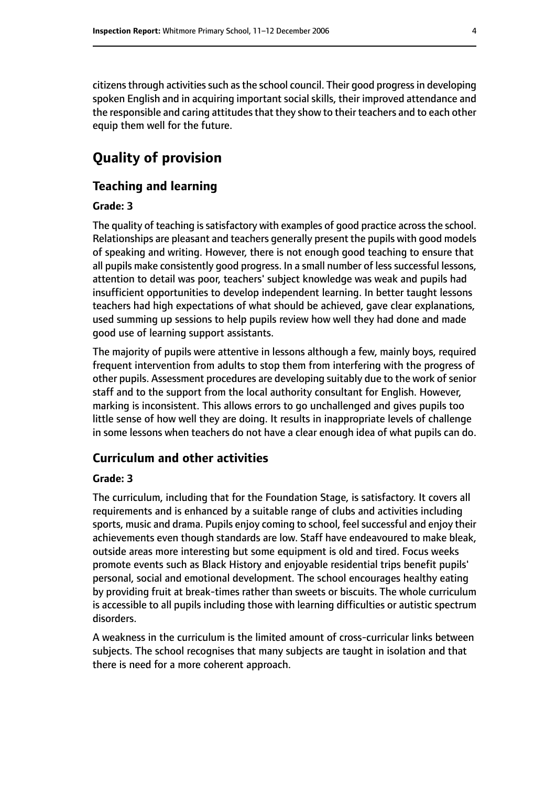citizens through activities such as the school council. Their good progress in developing spoken English and in acquiring important social skills, their improved attendance and the responsible and caring attitudes that they show to their teachers and to each other equip them well for the future.

# **Quality of provision**

#### **Teaching and learning**

#### **Grade: 3**

The quality of teaching is satisfactory with examples of good practice across the school. Relationships are pleasant and teachers generally present the pupils with good models of speaking and writing. However, there is not enough good teaching to ensure that all pupils make consistently good progress. In a small number of less successful lessons, attention to detail was poor, teachers' subject knowledge was weak and pupils had insufficient opportunities to develop independent learning. In better taught lessons teachers had high expectations of what should be achieved, gave clear explanations, used summing up sessions to help pupils review how well they had done and made good use of learning support assistants.

The majority of pupils were attentive in lessons although a few, mainly boys, required frequent intervention from adults to stop them from interfering with the progress of other pupils. Assessment procedures are developing suitably due to the work of senior staff and to the support from the local authority consultant for English. However, marking is inconsistent. This allows errors to go unchallenged and gives pupils too little sense of how well they are doing. It results in inappropriate levels of challenge in some lessons when teachers do not have a clear enough idea of what pupils can do.

#### **Curriculum and other activities**

#### **Grade: 3**

The curriculum, including that for the Foundation Stage, is satisfactory. It covers all requirements and is enhanced by a suitable range of clubs and activities including sports, music and drama. Pupils enjoy coming to school, feel successful and enjoy their achievements even though standards are low. Staff have endeavoured to make bleak, outside areas more interesting but some equipment is old and tired. Focus weeks promote events such as Black History and enjoyable residential trips benefit pupils' personal, social and emotional development. The school encourages healthy eating by providing fruit at break-times rather than sweets or biscuits. The whole curriculum is accessible to all pupils including those with learning difficulties or autistic spectrum disorders.

A weakness in the curriculum is the limited amount of cross-curricular links between subjects. The school recognises that many subjects are taught in isolation and that there is need for a more coherent approach.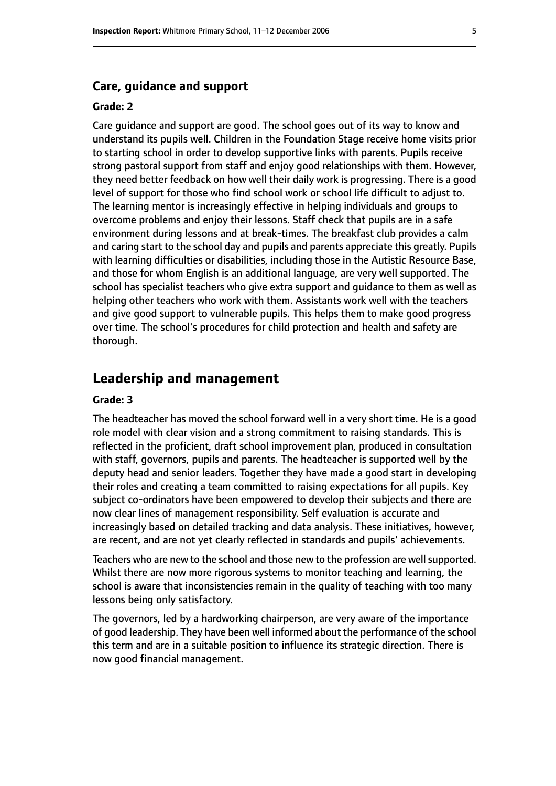#### **Care, guidance and support**

#### **Grade: 2**

Care guidance and support are good. The school goes out of its way to know and understand its pupils well. Children in the Foundation Stage receive home visits prior to starting school in order to develop supportive links with parents. Pupils receive strong pastoral support from staff and enjoy good relationships with them. However, they need better feedback on how well their daily work is progressing. There is a good level of support for those who find school work or school life difficult to adjust to. The learning mentor is increasingly effective in helping individuals and groups to overcome problems and enjoy their lessons. Staff check that pupils are in a safe environment during lessons and at break-times. The breakfast club provides a calm and caring start to the school day and pupils and parents appreciate this greatly. Pupils with learning difficulties or disabilities, including those in the Autistic Resource Base, and those for whom English is an additional language, are very well supported. The school has specialist teachers who give extra support and guidance to them as well as helping other teachers who work with them. Assistants work well with the teachers and give good support to vulnerable pupils. This helps them to make good progress over time. The school's procedures for child protection and health and safety are thorough.

### **Leadership and management**

#### **Grade: 3**

The headteacher has moved the school forward well in a very short time. He is a good role model with clear vision and a strong commitment to raising standards. This is reflected in the proficient, draft school improvement plan, produced in consultation with staff, governors, pupils and parents. The headteacher is supported well by the deputy head and senior leaders. Together they have made a good start in developing their roles and creating a team committed to raising expectations for all pupils. Key subject co-ordinators have been empowered to develop their subjects and there are now clear lines of management responsibility. Self evaluation is accurate and increasingly based on detailed tracking and data analysis. These initiatives, however, are recent, and are not yet clearly reflected in standards and pupils' achievements.

Teachers who are new to the school and those new to the profession are well supported. Whilst there are now more rigorous systems to monitor teaching and learning, the school is aware that inconsistencies remain in the quality of teaching with too many lessons being only satisfactory.

The governors, led by a hardworking chairperson, are very aware of the importance of good leadership. They have been well informed about the performance of the school this term and are in a suitable position to influence its strategic direction. There is now good financial management.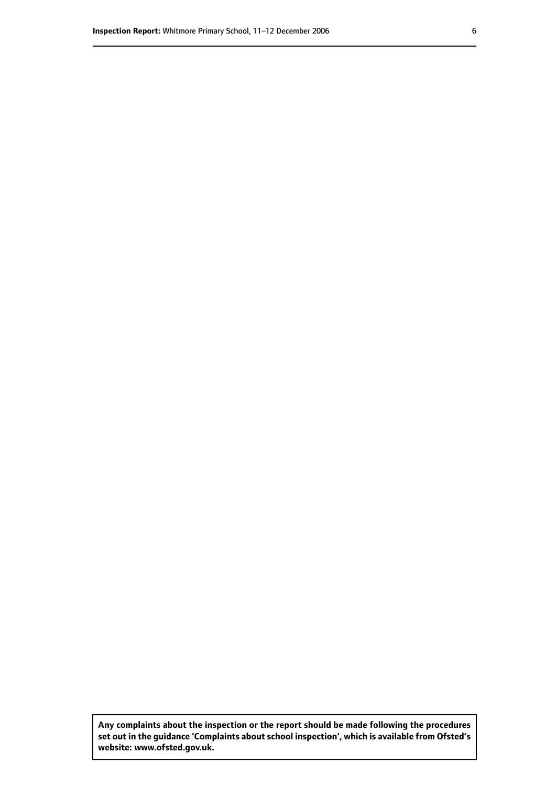**Any complaints about the inspection or the report should be made following the procedures set out inthe guidance 'Complaints about school inspection', whichis available from Ofsted's website: www.ofsted.gov.uk.**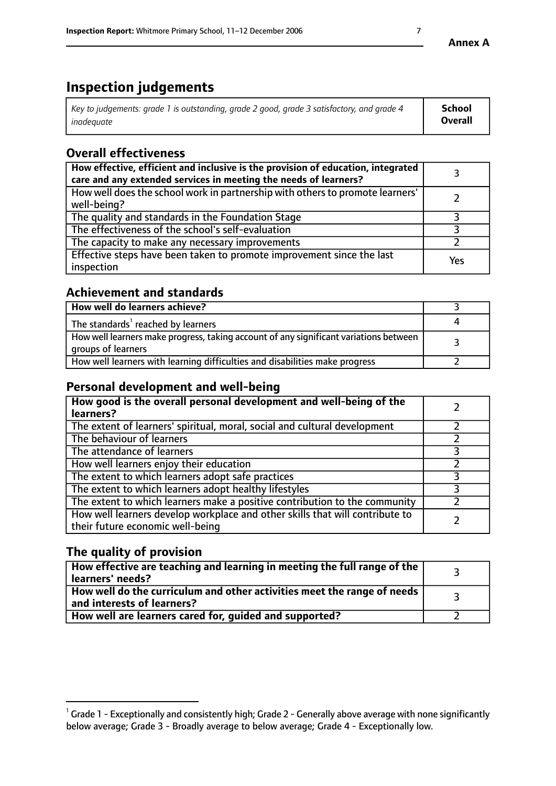# **Inspection judgements**

| Key to judgements: grade 1 is outstanding, grade 2 good, grade 3 satisfactory, and grade 4 | School         |
|--------------------------------------------------------------------------------------------|----------------|
| inadeauate                                                                                 | <b>Overall</b> |

# **Overall effectiveness**

| How effective, efficient and inclusive is the provision of education, integrated<br>care and any extended services in meeting the needs of learners? |     |
|------------------------------------------------------------------------------------------------------------------------------------------------------|-----|
| How well does the school work in partnership with others to promote learners'<br>well-being?                                                         |     |
| The quality and standards in the Foundation Stage                                                                                                    |     |
| The effectiveness of the school's self-evaluation                                                                                                    |     |
| The capacity to make any necessary improvements                                                                                                      |     |
| Effective steps have been taken to promote improvement since the last<br>inspection                                                                  | Yes |

# **Achievement and standards**

| How well do learners achieve?                                                                               |  |
|-------------------------------------------------------------------------------------------------------------|--|
| The standards <sup>1</sup> reached by learners                                                              |  |
| How well learners make progress, taking account of any significant variations between<br>groups of learners |  |
| How well learners with learning difficulties and disabilities make progress                                 |  |

# **Personal development and well-being**

| How good is the overall personal development and well-being of the<br>learners?                                  |  |
|------------------------------------------------------------------------------------------------------------------|--|
| The extent of learners' spiritual, moral, social and cultural development                                        |  |
| The behaviour of learners                                                                                        |  |
| The attendance of learners                                                                                       |  |
| How well learners enjoy their education                                                                          |  |
| The extent to which learners adopt safe practices                                                                |  |
| The extent to which learners adopt healthy lifestyles                                                            |  |
| The extent to which learners make a positive contribution to the community                                       |  |
| How well learners develop workplace and other skills that will contribute to<br>their future economic well-being |  |

# **The quality of provision**

| $\Box$ How effective are teaching and learning in meeting the full range of the $\Box$<br>  learners' needs?        |  |
|---------------------------------------------------------------------------------------------------------------------|--|
| $\mid$ How well do the curriculum and other activities meet the range of needs<br>$\mid$ and interests of learners? |  |
| How well are learners cared for, guided and supported?                                                              |  |

 $^1$  Grade 1 - Exceptionally and consistently high; Grade 2 - Generally above average with none significantly below average; Grade 3 - Broadly average to below average; Grade 4 - Exceptionally low.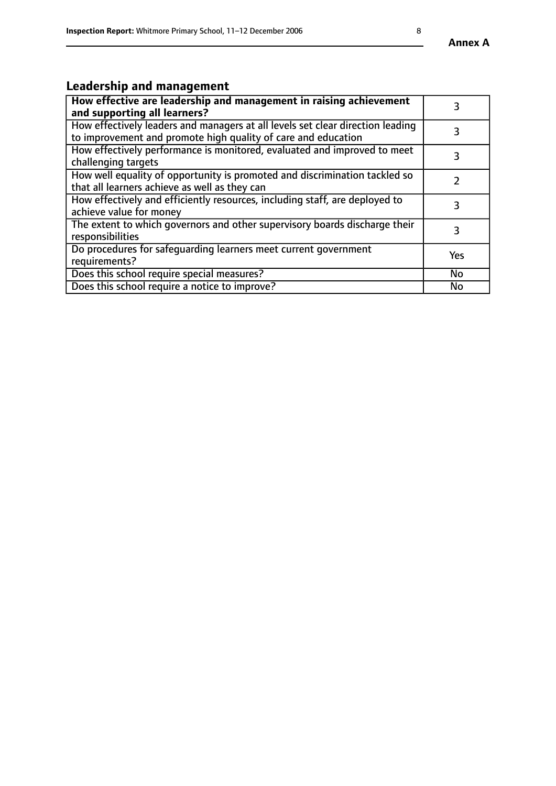# **Leadership and management**

| How effective are leadership and management in raising achievement<br>and supporting all learners?                                              |           |
|-------------------------------------------------------------------------------------------------------------------------------------------------|-----------|
| How effectively leaders and managers at all levels set clear direction leading<br>to improvement and promote high quality of care and education |           |
| How effectively performance is monitored, evaluated and improved to meet<br>challenging targets                                                 | 3         |
| How well equality of opportunity is promoted and discrimination tackled so<br>that all learners achieve as well as they can                     |           |
| How effectively and efficiently resources, including staff, are deployed to<br>achieve value for money                                          | 3         |
| The extent to which governors and other supervisory boards discharge their<br>responsibilities                                                  | 3         |
| Do procedures for safequarding learners meet current government<br>requirements?                                                                | Yes       |
| Does this school require special measures?                                                                                                      | No        |
| Does this school require a notice to improve?                                                                                                   | <b>No</b> |